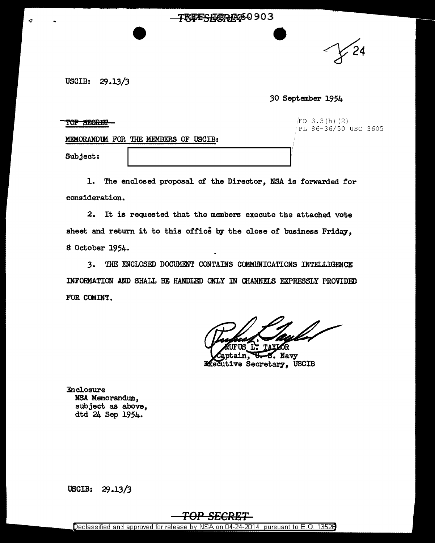## TRIFFSHARRISO 903

~4

USCIB: 29.13/3

## *30* September 1954

TOP SECRET

 $EO$  3.3(h)(2) PL 86-36/50 USC 3605

MEMORANDUM FOR THE MEMBERS OF USCIB:

Subject:

1. The enclosed proposal of the Director, NSA is forwarded. for consideration.

2. It is requested that the members execute the attached vote sheet and return it to this office by the close of business Friday. 8 October 1954.

3. THE ENCLOSED DOCUMENT CONTAINS COMMUNICATIONS INTELLIGENCE INFORMATION AND SHALL BE HANDLED ONLY IN CHANNELS EXPRESSLY PROVIDED FOR COMINT.

Navy ain. **Executive Secretary, USCIB** 

Enclosure NSA Memorandum., subject as above, dtd 24 Sep 1954.

USCIB: 29 .13/3

Declassified and approved for release by NSA on 04-24-2014 pursuant to E.O. 13526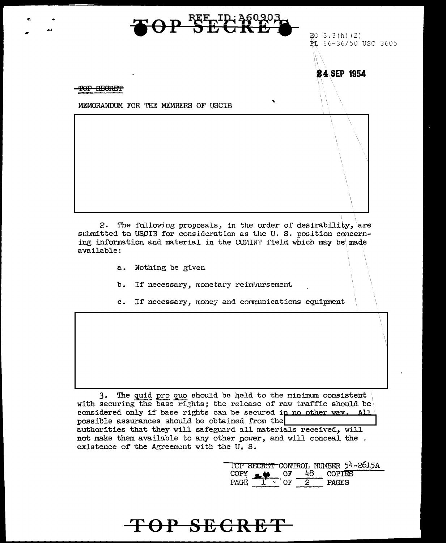

 $2.$ The following proposals, in the order of desirability, are submitted to USCIB for consideration as the U.S. position concerning information and material in the COMINT field which may be made available:

- Nothing be given a.
- $b.$ If necessary, monetary reimbursement
- If necessary, money and communications equipment  $c_{\star}$

The quid pro quo should be held to the minimum consistent  $3.$ with securing the base rights; the release of raw traffic should be considered only if base rights can be secured in no other way. All possible assurances should be obtained from the authorities that they will safeguard all materials received, will not make them available to any other power, and will conceal the. existence of the Agreement with the U.S.

> ICP SECRET CONTROL NUMBER 54-2615A COPY  $\frac{18}{1}$  OF  $\frac{48}{2}$  COPIES<br>PAGE  $\frac{1}{1}$  OF  $\frac{2}{2}$  PAGES

## TOP SECRET